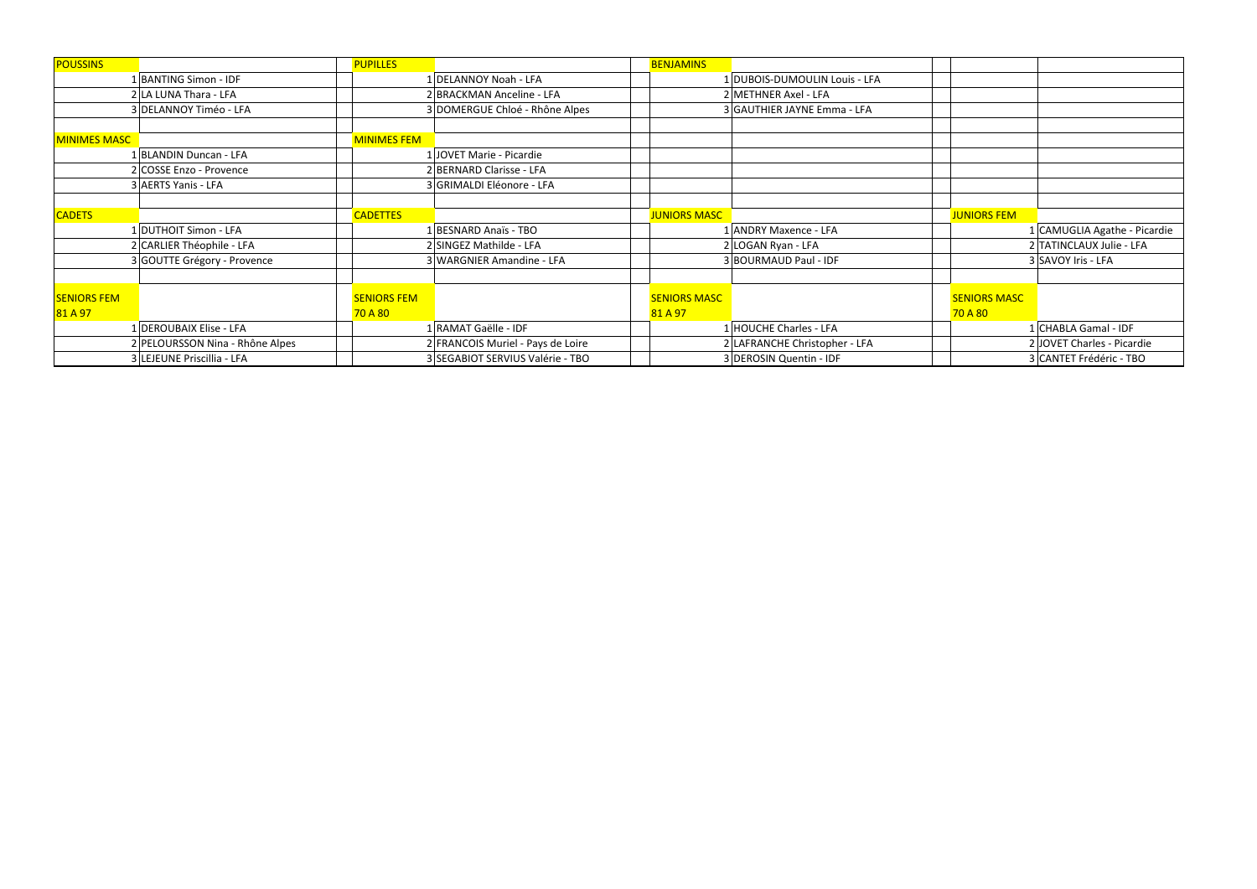| <b>POUSSINS</b>     |                                 | <b>PUPILLES</b>    |                                   | <b>BENJAMINS</b>    |                               |                     |                              |
|---------------------|---------------------------------|--------------------|-----------------------------------|---------------------|-------------------------------|---------------------|------------------------------|
|                     | BANTING Simon - IDF             |                    | 1 DELANNOY Noah - LFA             |                     | 1 DUBOIS-DUMOULIN Louis - LFA |                     |                              |
|                     | 2 LA LUNA Thara - LFA           |                    | 2 BRACKMAN Anceline - LFA         |                     | 2 METHNER Axel - LFA          |                     |                              |
|                     | 3 DELANNOY Timéo - LFA          |                    | 3 DOMERGUE Chloé - Rhône Alpes    |                     | 3 GAUTHIER JAYNE Emma - LFA   |                     |                              |
|                     |                                 |                    |                                   |                     |                               |                     |                              |
| <b>MINIMES MASC</b> |                                 | <b>MINIMES FEM</b> |                                   |                     |                               |                     |                              |
|                     | 1 BLANDIN Duncan - LFA          |                    | 1 JOVET Marie - Picardie          |                     |                               |                     |                              |
|                     | 2 COSSE Enzo - Provence         |                    | 2 BERNARD Clarisse - LFA          |                     |                               |                     |                              |
|                     | 3 AERTS Yanis - LFA             |                    | 3 GRIMALDI Eléonore - LFA         |                     |                               |                     |                              |
|                     |                                 |                    |                                   |                     |                               |                     |                              |
| <b>CADETS</b>       |                                 | <b>CADETTES</b>    |                                   | <b>JUNIORS MASC</b> |                               | <b>JUNIORS FEM</b>  |                              |
|                     | DUTHOIT Simon - LFA             |                    | BESNARD Anaïs - TBO               |                     | <b>ANDRY Maxence - LFA</b>    |                     | 1 CAMUGLIA Agathe - Picardie |
|                     | 2 CARLIER Théophile - LFA       |                    | 2 SINGEZ Mathilde - LFA           |                     | 2 LOGAN Ryan - LFA            |                     | 2 TATINCLAUX Julie - LFA     |
|                     | 3 GOUTTE Grégory - Provence     |                    | 3 WARGNIER Amandine - LFA         |                     | 3 BOURMAUD Paul - IDF         |                     | 3 SAVOY Iris - LFA           |
|                     |                                 |                    |                                   |                     |                               |                     |                              |
| <b>SENIORS FEM</b>  |                                 | <b>SENIORS FEM</b> |                                   | <b>SENIORS MASC</b> |                               | <b>SENIORS MASC</b> |                              |
| 81 A 97             |                                 | <b>70 A 80</b>     |                                   | 81 A 97             |                               | 70 A 80             |                              |
|                     | 1 DEROUBAIX Elise - LFA         |                    | RAMAT Gaëlle - IDF                |                     | L HOUCHE Charles - LFA        |                     | 1 CHABLA Gamal - IDF         |
|                     | 2 PELOURSSON Nina - Rhône Alpes |                    | 2 FRANCOIS Muriel - Pays de Loire |                     | 2 LAFRANCHE Christopher - LFA |                     | 2 JOVET Charles - Picardie   |
|                     | 3 LEJEUNE Priscillia - LFA      |                    | 3 SEGABIOT SERVIUS Valérie - TBO  |                     | 3 DEROSIN Quentin - IDF       |                     | 3 CANTET Frédéric - TBO      |

| -DUMOULIN Louis - LFA<br>ER Axel - LFA<br>IER JAYNE Emma - LFA<br><b>JUNIORS FEM</b><br>1 CAMUGLIA Agathe - Picardie<br>Maxence - LFA<br>2 TATINCLAUX Julie - LFA<br>Ryan - LFA<br><b>IAUD Paul - IDF</b><br>3 SAVOY Iris - LFA<br><b>SENIORS MASC</b><br>70 A 80<br>1 CHABLA Gamal - IDF<br>E Charles - LFA<br>2 JOVET Charles - Picardie<br>ICHE Christopher - LFA<br>N Quentin - IDF<br>3 CANTET Frédéric - TBO |  |  |
|--------------------------------------------------------------------------------------------------------------------------------------------------------------------------------------------------------------------------------------------------------------------------------------------------------------------------------------------------------------------------------------------------------------------|--|--|
|                                                                                                                                                                                                                                                                                                                                                                                                                    |  |  |
|                                                                                                                                                                                                                                                                                                                                                                                                                    |  |  |
|                                                                                                                                                                                                                                                                                                                                                                                                                    |  |  |
|                                                                                                                                                                                                                                                                                                                                                                                                                    |  |  |
|                                                                                                                                                                                                                                                                                                                                                                                                                    |  |  |
|                                                                                                                                                                                                                                                                                                                                                                                                                    |  |  |
|                                                                                                                                                                                                                                                                                                                                                                                                                    |  |  |
|                                                                                                                                                                                                                                                                                                                                                                                                                    |  |  |
|                                                                                                                                                                                                                                                                                                                                                                                                                    |  |  |
|                                                                                                                                                                                                                                                                                                                                                                                                                    |  |  |
|                                                                                                                                                                                                                                                                                                                                                                                                                    |  |  |
|                                                                                                                                                                                                                                                                                                                                                                                                                    |  |  |
|                                                                                                                                                                                                                                                                                                                                                                                                                    |  |  |
|                                                                                                                                                                                                                                                                                                                                                                                                                    |  |  |
|                                                                                                                                                                                                                                                                                                                                                                                                                    |  |  |
|                                                                                                                                                                                                                                                                                                                                                                                                                    |  |  |
|                                                                                                                                                                                                                                                                                                                                                                                                                    |  |  |
|                                                                                                                                                                                                                                                                                                                                                                                                                    |  |  |
|                                                                                                                                                                                                                                                                                                                                                                                                                    |  |  |
|                                                                                                                                                                                                                                                                                                                                                                                                                    |  |  |
|                                                                                                                                                                                                                                                                                                                                                                                                                    |  |  |